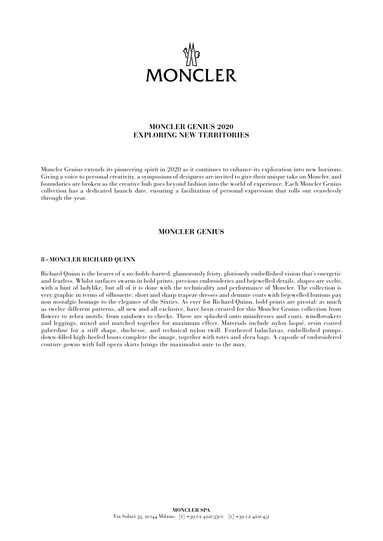

# **MONCLER GENIUS 2020 EXPLORING NEW TERRITORIES**

Moncler Genius extends its pioneering spirit in 2020 as it continues to enhance its exploration into new horizons. Giving a voice to personal creativity, a symposium of designers are invited to give their unique take on Moncler, and boundaries are broken as the creative hub goes beyond fashion into the world of experience. Each Moncler Genius collection has a dedicated launch date, ensuring a facilitation of personal expression that rolls out ceaselessly through the year.

### **MONCLER GENIUS**

#### **8 –MONCLER RICHARD QUINN**

Richard Quinn is the bearer of a no-holds-barred, glamorously feisty, gloriously embellished vision that's energetic and fearless. Whilst surfaces swarm in bold prints, precious embroideries and bejewelled details, shapes are svelte, with a hint of ladylike, but all of it is done with the technicality and performance of Moncler. The collection is very graphic in terms of silhouette: short and sharp trapeze dresses and demure coats with bejewelled buttons pay non nostalgic homage to the elegance of the Sixties. As ever for Richard Quinn, bold prints are pivotal: as much as twelve different patterns, all new and all exclusive, have been created for this Moncler Genius collection from flowers to zebra motifs, from rainbows to checks. These are splashed onto minidresses and coats, windbreakers and leggings, mixed and matched together for maximum effect. Materials include nylon laqué, resin coated gaberdine for a stiff shape, duchesse, and technical nylon twill. Feathered balaclavas, embellished pumps, down-filled high-heeled boots complete the image, together with totes and sfera bags. A capsule of embroidered couture gowns with full opera skirts brings the maximalist ante to the max.